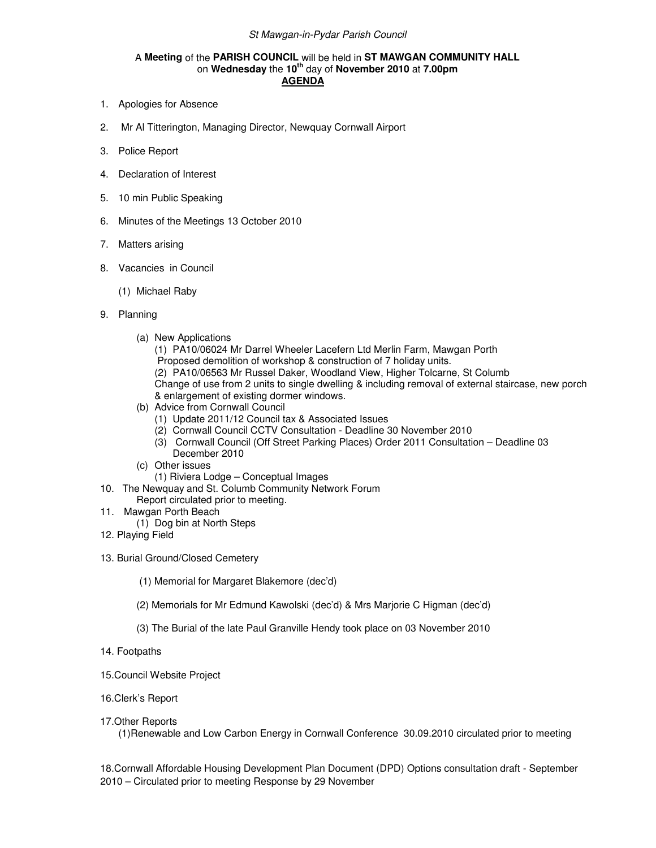## St Mawgan-in-Pydar Parish Council

## A **Meeting** of the **PARISH COUNCIL** will be held in **ST MAWGAN COMMUNITY HALL** on **Wednesday** the **10th** day of **November 2010** at **7.00pm AGENDA**

- 1. Apologies for Absence
- 2. Mr Al Titterington, Managing Director, Newquay Cornwall Airport
- 3. Police Report
- 4. Declaration of Interest
- 5. 10 min Public Speaking
- 6. Minutes of the Meetings 13 October 2010
- 7. Matters arising
- 8. Vacancies in Council
	- (1) Michael Raby
- 9. Planning
	- (a) New Applications
		- (1) PA10/06024 Mr Darrel Wheeler Lacefern Ltd Merlin Farm, Mawgan Porth Proposed demolition of workshop & construction of 7 holiday units. (2) PA10/06563 Mr Russel Daker, Woodland View, Higher Tolcarne, St Columb Change of use from 2 units to single dwelling & including removal of external staircase, new porch & enlargement of existing dormer windows.
	- (b) Advice from Cornwall Council
		- (1) Update 2011/12 Council tax & Associated Issues
		- (2) Cornwall Council CCTV Consultation Deadline 30 November 2010
		- (3) Cornwall Council (Off Street Parking Places) Order 2011 Consultation Deadline 03 December 2010
	- (c) Other issues
		- (1) Riviera Lodge Conceptual Images
- 10. The Newquay and St. Columb Community Network Forum
	- Report circulated prior to meeting.
- 11. Mawgan Porth Beach
	- (1) Dog bin at North Steps
- 12. Playing Field
- 13. Burial Ground/Closed Cemetery
	- (1) Memorial for Margaret Blakemore (dec'd)
	- (2) Memorials for Mr Edmund Kawolski (dec'd) & Mrs Marjorie C Higman (dec'd)
	- (3) The Burial of the late Paul Granville Hendy took place on 03 November 2010
- 14. Footpaths
- 15.Council Website Project
- 16.Clerk's Report
- 17.Other Reports

(1)Renewable and Low Carbon Energy in Cornwall Conference 30.09.2010 circulated prior to meeting

18.Cornwall Affordable Housing Development Plan Document (DPD) Options consultation draft - September 2010 – Circulated prior to meeting Response by 29 November